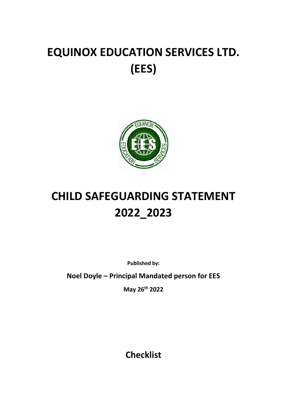# **EQUINOX EDUCATION SERVICES LTD. (EES)**



# **CHILD SAFEGUARDING STATEMENT 2022\_2023**

**Published by:**

**Noel Doyle – Principal Mandated person for EES**

**May 26th 2022**

**Checklist**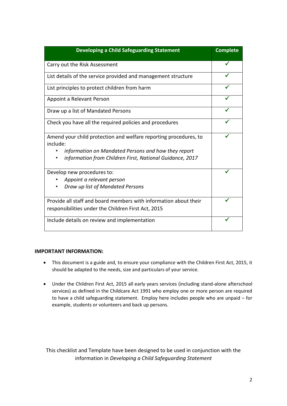| <b>Developing a Child Safeguarding Statement</b>                                                                                                                                                | <b>Complete</b> |
|-------------------------------------------------------------------------------------------------------------------------------------------------------------------------------------------------|-----------------|
| Carry out the Risk Assessment                                                                                                                                                                   |                 |
| List details of the service provided and management structure                                                                                                                                   |                 |
| List principles to protect children from harm                                                                                                                                                   |                 |
| Appoint a Relevant Person                                                                                                                                                                       |                 |
| Draw up a list of Mandated Persons                                                                                                                                                              |                 |
| Check you have all the required policies and procedures                                                                                                                                         |                 |
| Amend your child protection and welfare reporting procedures, to<br>include:<br>information on Mandated Persons and how they report<br>information from Children First, National Guidance, 2017 |                 |
| Develop new procedures to:<br>Appoint a relevant person                                                                                                                                         |                 |
| Draw up list of Mandated Persons                                                                                                                                                                |                 |
| Provide all staff and board members with information about their<br>responsibilities under the Children First Act, 2015                                                                         |                 |
| Include details on review and implementation                                                                                                                                                    |                 |

#### **IMPORTANT INFORMATION:**

- This document is a guide and, to ensure your compliance with the Children First Act, 2015, it should be adapted to the needs, size and particulars of your service.
- Under the Children First Act, 2015 all early years services (including stand-alone afterschool services) as defined in the Childcare Act 1991 who employ one or more person are required to have a child safeguarding statement. Employ here includes people who are unpaid – for example, students or volunteers and back up persons.

This checklist and Template have been designed to be used in conjunction with the information in *Developing a Child Safeguarding Statement*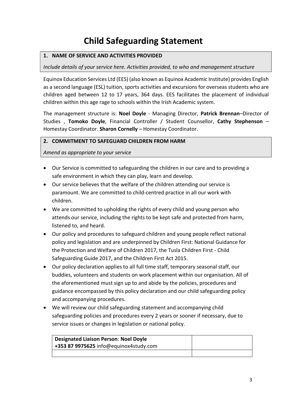## **Child Safeguarding Statement**

#### **1. NAME OF SERVICE AND ACTIVITIES PROVIDED**

#### *Include details of your service here. Activities provided, to who and management structure*

Equinox Education Services Ltd (EES) (also known as Equinox Academic Institute) provides English as a second language (ESL) tuition, sports activities and excursions for overseas students who are children aged between 12 to 17 years, 364 days. EES facilitates the placement of individual children within this age rage to schools within the Irish Academic system.

The management structure is: **Noel Doyle** - Managing Director, **Patrick Brennan**–Director of Studies , **Tomoko Doyle**, Financial Controller / Student Counsellor, **Cathy Stephenson** – Homestay Coordinator. **Sharon Cornelly** – Homestay Coordinator.

#### **2. COMMITMENT TO SAFEGUARD CHILDREN FROM HARM**

*Amend as appropriate to your service*

- Our Service is committed to safeguarding the children in our care and to providing a safe environment in which they can play, learn and develop.
- Our service believes that the welfare of the children attending our service is paramount. We are committed to child-centred practice in all our work with children.
- We are committed to upholding the rights of every child and young person who attends our service, including the rights to be kept safe and protected from harm, listened to, and heard.
- Our policy and procedures to safeguard children and young people reflect national policy and legislation and are underpinned by Children First: National Guidance for the Protection and Welfare of Children 2017, the Tusla Children First - Child Safeguarding Guide 2017, and the Children First Act 2015.
- Our policy declaration applies to all full time staff, temporary seasonal staff, our buddies, volunteers and students on work placement within our organisation. All of the aforementioned must sign up to and abide by the policies, procedures and guidance encompassed by this policy declaration and our child safeguarding policy and accompanying procedures.
- We will review our child safeguarding statement and accompanying child safeguarding policies and procedures every 2 years or sooner if necessary, due to service issues or changes in legislation or national policy.

| <b>Designated Liaison Person: Noel Doyle</b> |  |
|----------------------------------------------|--|
| +353 87 9975625 info@equinox4study.com       |  |
|                                              |  |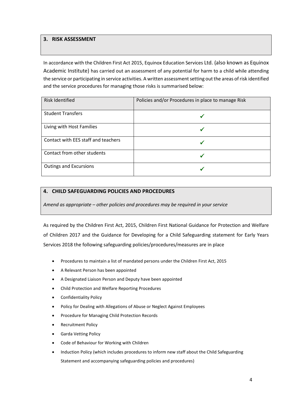#### **3. RISK ASSESSMENT**

In accordance with the Children First Act 2015, Equinox Education Services Ltd. (also known as Equinox Academic Institute) has carried out an assessment of any potential for harm to a child while attending the service or participating in service activities. A written assessment setting out the areas of risk identified and the service procedures for managing those risks is summarised below:

| <b>Risk Identified</b>              | Policies and/or Procedures in place to manage Risk |
|-------------------------------------|----------------------------------------------------|
| <b>Student Transfers</b>            |                                                    |
| Living with Host Families           |                                                    |
| Contact with EES staff and teachers |                                                    |
| Contact from other students         |                                                    |
| <b>Outings and Excursions</b>       |                                                    |

#### **4. CHILD SAFEGUARDING POLICIES AND PROCEDURES**

*Amend as appropriate – other policies and procedures may be required in your service*

As required by the Children First Act, 2015, Children First National Guidance for Protection and Welfare of Children 2017 and the Guidance for Developing for a Child Safeguarding statement for Early Years Services 2018 the following safeguarding policies/procedures/measures are in place

- Procedures to maintain a list of mandated persons under the Children First Act, 2015
- A Relevant Person has been appointed
- A Designated Liaison Person and Deputy have been appointed
- Child Protection and Welfare Reporting Procedures
- Confidentiality Policy
- Policy for Dealing with Allegations of Abuse or Neglect Against Employees
- Procedure for Managing Child Protection Records
- Recruitment Policy
- Garda Vetting Policy
- Code of Behaviour for Working with Children
- Induction Policy (which includes procedures to inform new staff about the Child Safeguarding Statement and accompanying safeguarding policies and procedures)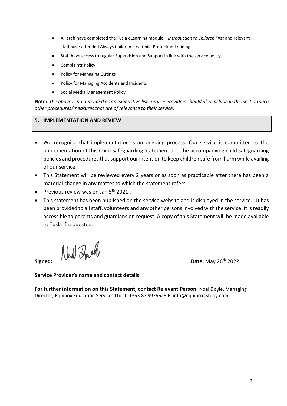- All staff have completed the Tusla eLearning module *Introduction to Children First* and relevant staff have attended Always Children First Child Protection Training.
- Staff have access to regular Supervision and Support in line with the service policy.
- Complaints Policy
- Policy for Managing Outings
- Policy for Managing Accidents and Incidents
- Social Media Management Policy

**Note:** *The above is not intended as an exhaustive list. Service Providers should also include in this section such other procedures/measures that are of relevance to their service.* 

#### **5. IMPLEMENTATION AND REVIEW**

- We recognise that implementation is an ongoing process. Our service is committed to the implementation of this Child Safeguarding Statement and the accompanying child safeguarding policies and procedures that support our intention to keep children safe from harm while availing of our service.
- This Statement will be reviewed every 2 years or as soon as practicable after there has been a material change in any matter to which the statement refers.
- Previous review was on Jan  $5<sup>th</sup>$  2021.
- This statement has been published on the service website and is displayed in the service. It has been provided to all staff, volunteers and any other persons involved with the service. It is readily accessible to parents and guardians on request. A copy of this Statement will be made available to Tusla if requested.

 $\int \int \frac{1}{\sqrt{2}} \int \frac{1}{\sqrt{2}} \int \frac{1}{\sqrt{2}} \int \frac{1}{\sqrt{2}} \int \frac{1}{\sqrt{2}} \int \frac{1}{\sqrt{2}} \int \frac{1}{\sqrt{2}} \int \frac{1}{\sqrt{2}} \int \frac{1}{\sqrt{2}} \int \frac{1}{\sqrt{2}} \int \frac{1}{\sqrt{2}} \int \frac{1}{\sqrt{2}} \int \frac{1}{\sqrt{2}} \int \frac{1}{\sqrt{2}} \int \frac{1}{\sqrt{2}} \int \frac{1}{\sqrt{2}} \int \frac{1}{\sqrt{2}} \int \frac{1}{\sqrt{2}} \int$ 

**Service Provider's name and contact details:**

**For further information on this Statement, contact Relevant Person:** Noel Doyle, Managing Director, Equinox Education Services Ltd. T. +353 87 9975625 E. info@equinox4study.com